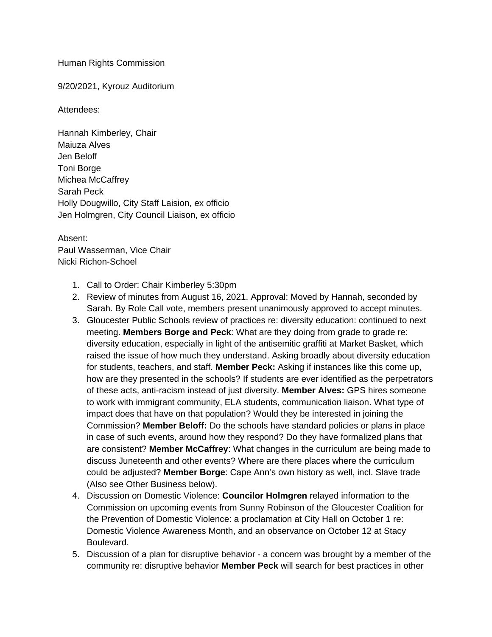## Human Rights Commission

## 9/20/2021, Kyrouz Auditorium

## Attendees:

Hannah Kimberley, Chair Maiuza Alves Jen Beloff Toni Borge Michea McCaffrey Sarah Peck Holly Dougwillo, City Staff Laision, ex officio Jen Holmgren, City Council Liaison, ex officio

## Absent:

Paul Wasserman, Vice Chair Nicki Richon-Schoel

- 1. Call to Order: Chair Kimberley 5:30pm
- 2. Review of minutes from August 16, 2021. Approval: Moved by Hannah, seconded by Sarah. By Role Call vote, members present unanimously approved to accept minutes.
- 3. Gloucester Public Schools review of practices re: diversity education: continued to next meeting. **Members Borge and Peck**: What are they doing from grade to grade re: diversity education, especially in light of the antisemitic graffiti at Market Basket, which raised the issue of how much they understand. Asking broadly about diversity education for students, teachers, and staff. **Member Peck:** Asking if instances like this come up, how are they presented in the schools? If students are ever identified as the perpetrators of these acts, anti-racism instead of just diversity. **Member Alves:** GPS hires someone to work with immigrant community, ELA students, communication liaison. What type of impact does that have on that population? Would they be interested in joining the Commission? **Member Beloff:** Do the schools have standard policies or plans in place in case of such events, around how they respond? Do they have formalized plans that are consistent? **Member McCaffrey**: What changes in the curriculum are being made to discuss Juneteenth and other events? Where are there places where the curriculum could be adjusted? **Member Borge**: Cape Ann's own history as well, incl. Slave trade (Also see Other Business below).
- 4. Discussion on Domestic Violence: **Councilor Holmgren** relayed information to the Commission on upcoming events from Sunny Robinson of the Gloucester Coalition for the Prevention of Domestic Violence: a proclamation at City Hall on October 1 re: Domestic Violence Awareness Month, and an observance on October 12 at Stacy Boulevard.
- 5. Discussion of a plan for disruptive behavior a concern was brought by a member of the community re: disruptive behavior **Member Peck** will search for best practices in other